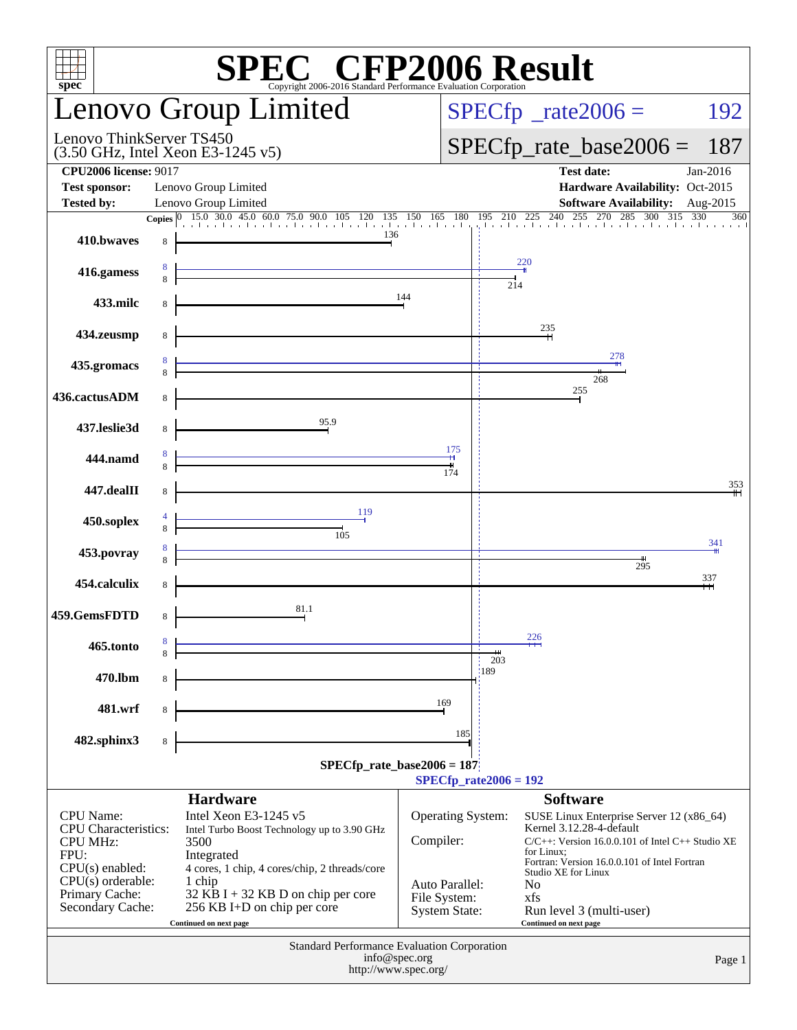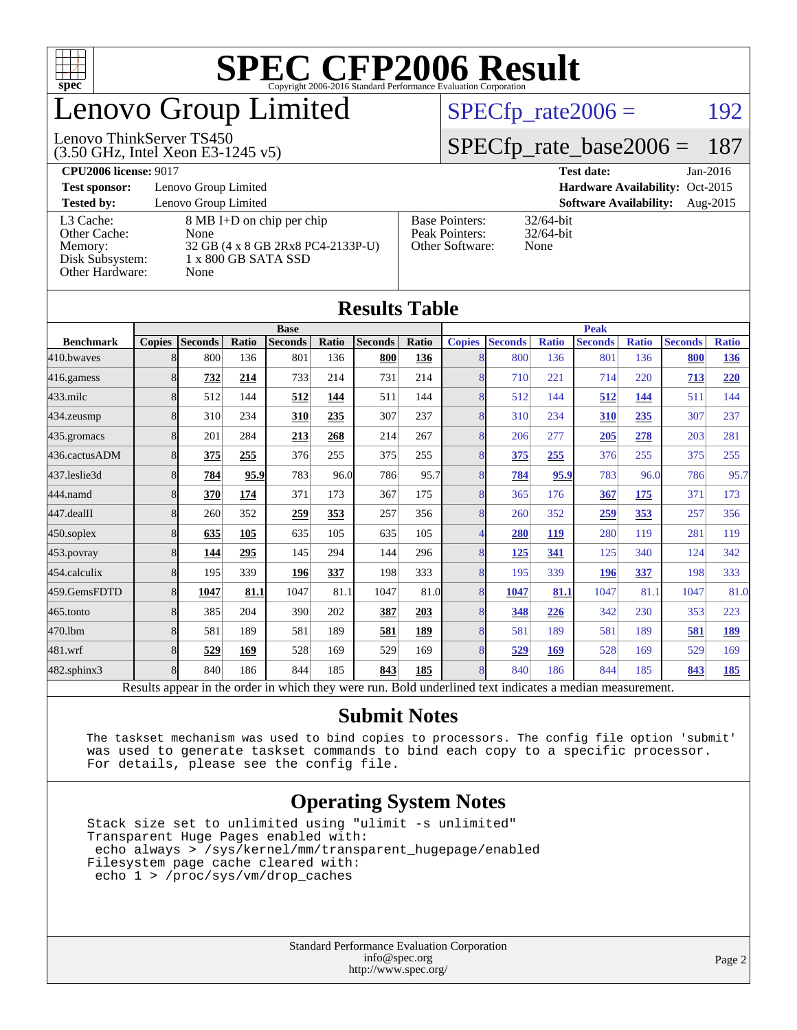

### enovo Group Limited

#### (3.50 GHz, Intel Xeon E3-1245 v5) Lenovo ThinkServer TS450

 $SPECTp_rate2006 = 192$ 

### [SPECfp\\_rate\\_base2006 =](http://www.spec.org/auto/cpu2006/Docs/result-fields.html#SPECfpratebase2006) 187

**[CPU2006 license:](http://www.spec.org/auto/cpu2006/Docs/result-fields.html#CPU2006license)** 9017 **[Test date:](http://www.spec.org/auto/cpu2006/Docs/result-fields.html#Testdate)** Jan-2016

**[Test sponsor:](http://www.spec.org/auto/cpu2006/Docs/result-fields.html#Testsponsor)** Lenovo Group Limited **[Hardware Availability:](http://www.spec.org/auto/cpu2006/Docs/result-fields.html#HardwareAvailability)** Oct-2015

[Other Cache:](http://www.spec.org/auto/cpu2006/Docs/result-fields.html#OtherCache) [Other Hardware:](http://www.spec.org/auto/cpu2006/Docs/result-fields.html#OtherHardware) None

**[Tested by:](http://www.spec.org/auto/cpu2006/Docs/result-fields.html#Testedby)** Lenovo Group Limited **[Software Availability:](http://www.spec.org/auto/cpu2006/Docs/result-fields.html#SoftwareAvailability)** Aug-2015 [L3 Cache:](http://www.spec.org/auto/cpu2006/Docs/result-fields.html#L3Cache) 8 MB I+D on chip per chip<br>Other Cache: None [Memory:](http://www.spec.org/auto/cpu2006/Docs/result-fields.html#Memory) 32 GB (4 x 8 GB 2Rx8 PC4-2133P-U) [Disk Subsystem:](http://www.spec.org/auto/cpu2006/Docs/result-fields.html#DiskSubsystem) 1 x 800 GB SATA SSD

| <b>Base Pointers:</b><br>Peak Pointers: | $32/64$ -bit<br>$32/64$ -bit |
|-----------------------------------------|------------------------------|
| Other Software:                         | None                         |

32/64-bit

|                  |               |                |       |                |       | <b>Results Table</b> |              |               |                                                                                                          |              |                |              |                |              |
|------------------|---------------|----------------|-------|----------------|-------|----------------------|--------------|---------------|----------------------------------------------------------------------------------------------------------|--------------|----------------|--------------|----------------|--------------|
|                  |               |                |       | <b>Base</b>    |       |                      |              |               |                                                                                                          |              | <b>Peak</b>    |              |                |              |
| <b>Benchmark</b> | <b>Copies</b> | <b>Seconds</b> | Ratio | <b>Seconds</b> | Ratio | <b>Seconds</b>       | <b>Ratio</b> | <b>Copies</b> | <b>Seconds</b>                                                                                           | <b>Ratio</b> | <b>Seconds</b> | <b>Ratio</b> | <b>Seconds</b> | <b>Ratio</b> |
| 410.bwayes       | 8             | 800            | 136   | 801            | 136   | 800                  | 136          | 8             | 800                                                                                                      | 136          | 801            | 136          | 800            | 136          |
| 416.gamess       | 8             | 732            | 214   | 733            | 214   | 731                  | 214          | 8             | 710                                                                                                      | 221          | 714            | 220          | 713            | 220          |
| $433$ .milc      | 8             | 512            | 144   | 512            | 144   | 511                  | 144          | 8             | 512                                                                                                      | 144          | 512            | 144          | 511            | 144          |
| 434.zeusmp       | 8             | 310            | 234   | 310            | 235   | 307                  | 237          | 8             | 310                                                                                                      | 234          | 310            | 235          | 307            | 237          |
| 435.gromacs      | 8             | 201            | 284   | 213            | 268   | 214                  | 267          | 8             | 206                                                                                                      | 277          | 205            | 278          | 203            | 281          |
| 436.cactusADM    | 8             | 375            | 255   | 376            | 255   | 375                  | 255          | 8             | 375                                                                                                      | 255          | 376            | 255          | 375            | 255          |
| 437.leslie3d     | 8             | 784            | 95.9  | 783            | 96.0  | 786                  | 95.7         | 8             | 784                                                                                                      | 95.9         | 783            | 96.0         | 786            | 95.7         |
| 444.namd         | 8             | 370            | 174   | 371            | 173   | 367                  | 175          | 8             | 365                                                                                                      | 176          | 367            | 175          | 371            | 173          |
| 447.dealII       | 8             | 260            | 352   | 259            | 353   | 257                  | 356          | 8             | 260                                                                                                      | 352          | 259            | 353          | 257            | 356          |
| $450$ .soplex    | 8             | 635            | 105   | 635            | 105   | 635                  | 105          | 4             | 280                                                                                                      | 119          | 280            | 119          | 281            | 119          |
| $453$ .povray    | 8             | 144            | 295   | 145            | 294   | 144                  | 296          | 8             | <u>125</u>                                                                                               | 341          | 125            | 340          | 124            | 342          |
| 454.calculix     | 8             | 195            | 339   | 196            | 337   | 198                  | 333          | 8             | 195                                                                                                      | 339          | 196            | 337          | 198            | 333          |
| 459.GemsFDTD     | 8             | 1047           | 81.1  | 1047           | 81.1  | 1047                 | 81.0         | 8             | 1047                                                                                                     | 81.1         | 1047           | 81.1         | 1047           | 81.0         |
| $465$ .tonto     | 8             | 385            | 204   | 390            | 202   | 387                  | 203          | 8             | 348                                                                                                      | 226          | 342            | 230          | 353            | 223          |
| 470.1bm          | 8             | 581            | 189   | 581            | 189   | 581                  | <u>189</u>   | 8             | 581                                                                                                      | 189          | 581            | 189          | 581            | 189          |
| 481.wrf          | 8             | 529            | 169   | 528            | 169   | 529                  | 169          | 8             | 529                                                                                                      | 169          | 528            | 169          | 529            | 169          |
| 482.sphinx3      | 8             | 840            | 186   | 844            | 185   | 843                  | 185          | 8             | 840                                                                                                      | 186          | 844            | 185          | 843            | 185          |
|                  |               |                |       |                |       |                      |              |               | Results appear in the order in which they were run. Bold underlined text indicates a median measurement. |              |                |              |                |              |

#### **[Submit Notes](http://www.spec.org/auto/cpu2006/Docs/result-fields.html#SubmitNotes)**

 The taskset mechanism was used to bind copies to processors. The config file option 'submit' was used to generate taskset commands to bind each copy to a specific processor. For details, please see the config file.

### **[Operating System Notes](http://www.spec.org/auto/cpu2006/Docs/result-fields.html#OperatingSystemNotes)**

 Stack size set to unlimited using "ulimit -s unlimited" Transparent Huge Pages enabled with: echo always > /sys/kernel/mm/transparent\_hugepage/enabled Filesystem page cache cleared with: echo 1 > /proc/sys/vm/drop\_caches

> Standard Performance Evaluation Corporation [info@spec.org](mailto:info@spec.org) <http://www.spec.org/>

#### Page 2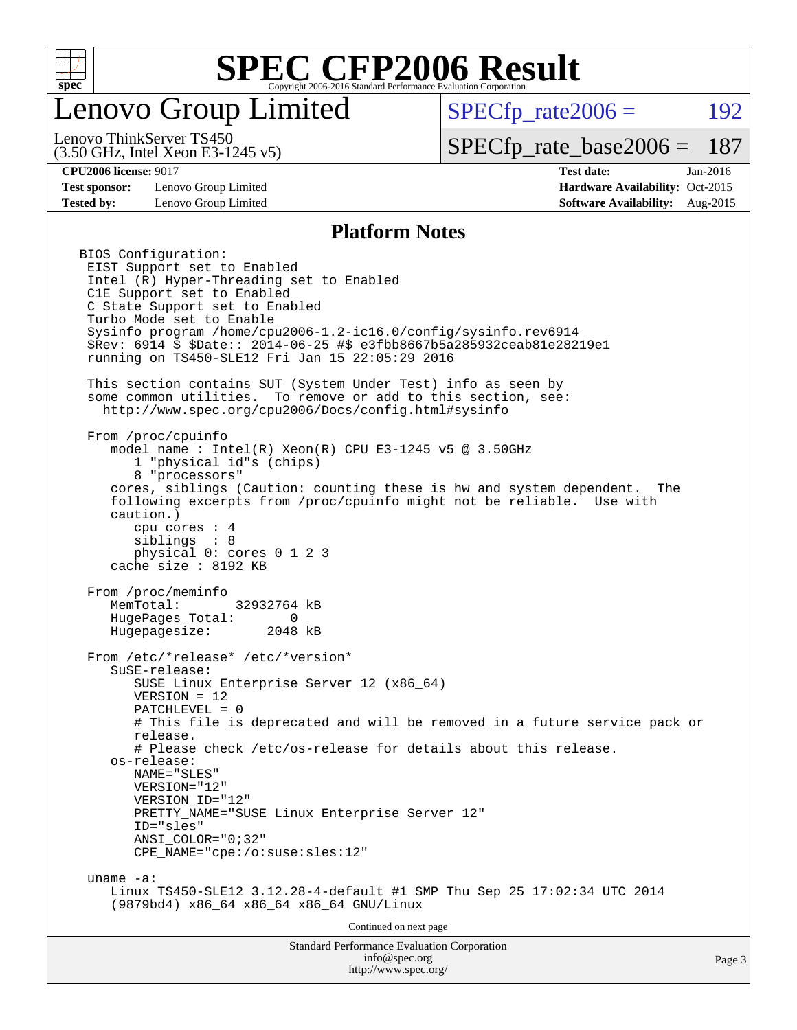

### enovo Group Limited

 $SPECTp\_rate2006 = 192$ 

(3.50 GHz, Intel Xeon E3-1245 v5) Lenovo ThinkServer TS450

[SPECfp\\_rate\\_base2006 =](http://www.spec.org/auto/cpu2006/Docs/result-fields.html#SPECfpratebase2006) 187

**[Test sponsor:](http://www.spec.org/auto/cpu2006/Docs/result-fields.html#Testsponsor)** Lenovo Group Limited **[Hardware Availability:](http://www.spec.org/auto/cpu2006/Docs/result-fields.html#HardwareAvailability)** Oct-2015

**[CPU2006 license:](http://www.spec.org/auto/cpu2006/Docs/result-fields.html#CPU2006license)** 9017 **[Test date:](http://www.spec.org/auto/cpu2006/Docs/result-fields.html#Testdate)** Jan-2016 **[Tested by:](http://www.spec.org/auto/cpu2006/Docs/result-fields.html#Testedby)** Lenovo Group Limited **[Software Availability:](http://www.spec.org/auto/cpu2006/Docs/result-fields.html#SoftwareAvailability)** Aug-2015

#### **[Platform Notes](http://www.spec.org/auto/cpu2006/Docs/result-fields.html#PlatformNotes)**

Standard Performance Evaluation Corporation [info@spec.org](mailto:info@spec.org) BIOS Configuration: EIST Support set to Enabled Intel (R) Hyper-Threading set to Enabled C1E Support set to Enabled C State Support set to Enabled Turbo Mode set to Enable Sysinfo program /home/cpu2006-1.2-ic16.0/config/sysinfo.rev6914 \$Rev: 6914 \$ \$Date:: 2014-06-25 #\$ e3fbb8667b5a285932ceab81e28219e1 running on TS450-SLE12 Fri Jan 15 22:05:29 2016 This section contains SUT (System Under Test) info as seen by some common utilities. To remove or add to this section, see: <http://www.spec.org/cpu2006/Docs/config.html#sysinfo> From /proc/cpuinfo model name : Intel(R) Xeon(R) CPU E3-1245 v5 @ 3.50GHz 1 "physical id"s (chips) 8 "processors" cores, siblings (Caution: counting these is hw and system dependent. The following excerpts from /proc/cpuinfo might not be reliable. Use with caution.) cpu cores : 4 siblings : 8 physical 0: cores 0 1 2 3 cache size : 8192 KB From /proc/meminfo MemTotal: 32932764 kB HugePages\_Total: 0 Hugepagesize: 2048 kB From /etc/\*release\* /etc/\*version\* SuSE-release: SUSE Linux Enterprise Server 12 (x86\_64) VERSION = 12 PATCHLEVEL = 0 # This file is deprecated and will be removed in a future service pack or release. # Please check /etc/os-release for details about this release. os-release: NAME="SLES" VERSION="12" VERSION\_ID="12" PRETTY\_NAME="SUSE\_Linux Enterprise Server 12" ID="sles" ANSI\_COLOR="0;32" CPE\_NAME="cpe:/o:suse:sles:12" uname -a: Linux TS450-SLE12 3.12.28-4-default #1 SMP Thu Sep 25 17:02:34 UTC 2014 (9879bd4) x86\_64 x86\_64 x86\_64 GNU/Linux Continued on next page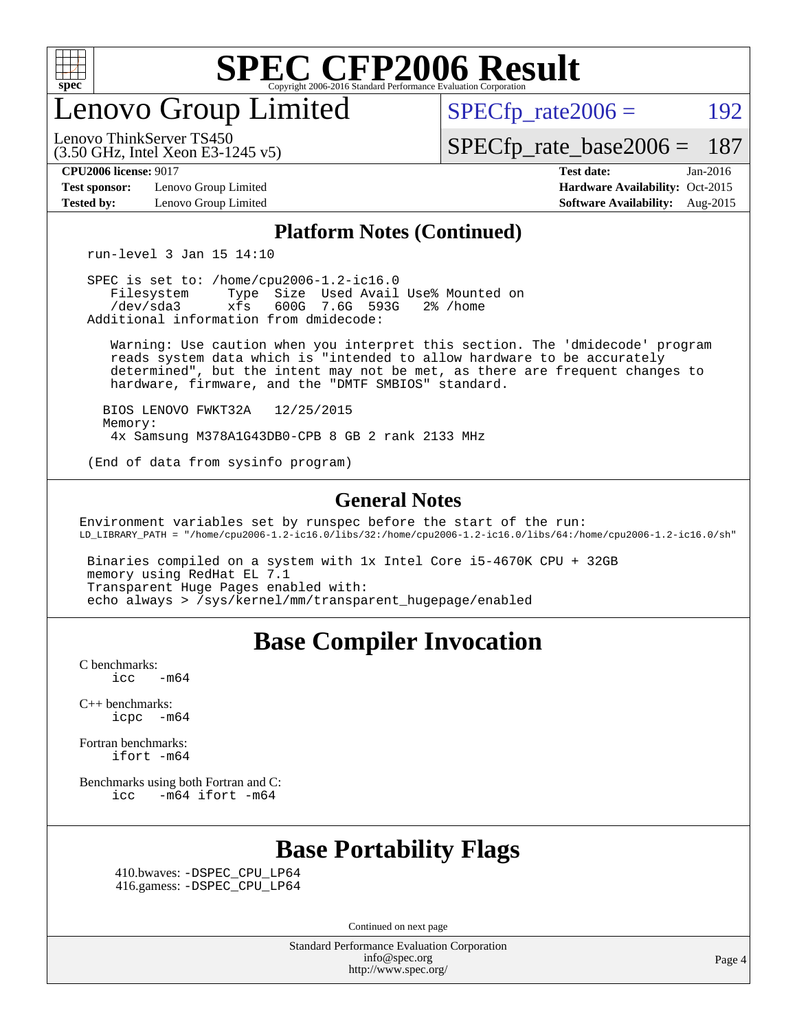

enovo Group Limited

 $SPECTp\_rate2006 = 192$ 

(3.50 GHz, Intel Xeon E3-1245 v5) Lenovo ThinkServer TS450

[SPECfp\\_rate\\_base2006 =](http://www.spec.org/auto/cpu2006/Docs/result-fields.html#SPECfpratebase2006) 187

**[Test sponsor:](http://www.spec.org/auto/cpu2006/Docs/result-fields.html#Testsponsor)** Lenovo Group Limited **[Hardware Availability:](http://www.spec.org/auto/cpu2006/Docs/result-fields.html#HardwareAvailability)** Oct-2015

**[CPU2006 license:](http://www.spec.org/auto/cpu2006/Docs/result-fields.html#CPU2006license)** 9017 **[Test date:](http://www.spec.org/auto/cpu2006/Docs/result-fields.html#Testdate)** Jan-2016 **[Tested by:](http://www.spec.org/auto/cpu2006/Docs/result-fields.html#Testedby)** Lenovo Group Limited **[Software Availability:](http://www.spec.org/auto/cpu2006/Docs/result-fields.html#SoftwareAvailability)** Aug-2015

#### **[Platform Notes \(Continued\)](http://www.spec.org/auto/cpu2006/Docs/result-fields.html#PlatformNotes)**

run-level 3 Jan 15 14:10

 SPEC is set to: /home/cpu2006-1.2-ic16.0 Filesystem Type Size Used Avail Use% Mounted on<br>
/dev/sda3 xfs 600G 7.6G 593G 2% /home 600G 7.6G 593G Additional information from dmidecode:

 Warning: Use caution when you interpret this section. The 'dmidecode' program reads system data which is "intended to allow hardware to be accurately determined", but the intent may not be met, as there are frequent changes to hardware, firmware, and the "DMTF SMBIOS" standard.

 BIOS LENOVO FWKT32A 12/25/2015 Memory: 4x Samsung M378A1G43DB0-CPB 8 GB 2 rank 2133 MHz

(End of data from sysinfo program)

#### **[General Notes](http://www.spec.org/auto/cpu2006/Docs/result-fields.html#GeneralNotes)**

Environment variables set by runspec before the start of the run: LD\_LIBRARY\_PATH = "/home/cpu2006-1.2-ic16.0/libs/32:/home/cpu2006-1.2-ic16.0/libs/64:/home/cpu2006-1.2-ic16.0/sh"

 Binaries compiled on a system with 1x Intel Core i5-4670K CPU + 32GB memory using RedHat EL 7.1 Transparent Huge Pages enabled with: echo always > /sys/kernel/mm/transparent\_hugepage/enabled

### **[Base Compiler Invocation](http://www.spec.org/auto/cpu2006/Docs/result-fields.html#BaseCompilerInvocation)**

[C benchmarks](http://www.spec.org/auto/cpu2006/Docs/result-fields.html#Cbenchmarks):  $\text{icc}$  -m64

[C++ benchmarks:](http://www.spec.org/auto/cpu2006/Docs/result-fields.html#CXXbenchmarks) [icpc -m64](http://www.spec.org/cpu2006/results/res2016q1/cpu2006-20160125-38883.flags.html#user_CXXbase_intel_icpc_64bit_bedb90c1146cab66620883ef4f41a67e)

[Fortran benchmarks](http://www.spec.org/auto/cpu2006/Docs/result-fields.html#Fortranbenchmarks): [ifort -m64](http://www.spec.org/cpu2006/results/res2016q1/cpu2006-20160125-38883.flags.html#user_FCbase_intel_ifort_64bit_ee9d0fb25645d0210d97eb0527dcc06e)

[Benchmarks using both Fortran and C](http://www.spec.org/auto/cpu2006/Docs/result-fields.html#BenchmarksusingbothFortranandC): [icc -m64](http://www.spec.org/cpu2006/results/res2016q1/cpu2006-20160125-38883.flags.html#user_CC_FCbase_intel_icc_64bit_0b7121f5ab7cfabee23d88897260401c) [ifort -m64](http://www.spec.org/cpu2006/results/res2016q1/cpu2006-20160125-38883.flags.html#user_CC_FCbase_intel_ifort_64bit_ee9d0fb25645d0210d97eb0527dcc06e)

### **[Base Portability Flags](http://www.spec.org/auto/cpu2006/Docs/result-fields.html#BasePortabilityFlags)**

 410.bwaves: [-DSPEC\\_CPU\\_LP64](http://www.spec.org/cpu2006/results/res2016q1/cpu2006-20160125-38883.flags.html#suite_basePORTABILITY410_bwaves_DSPEC_CPU_LP64) 416.gamess: [-DSPEC\\_CPU\\_LP64](http://www.spec.org/cpu2006/results/res2016q1/cpu2006-20160125-38883.flags.html#suite_basePORTABILITY416_gamess_DSPEC_CPU_LP64)

Continued on next page

Standard Performance Evaluation Corporation [info@spec.org](mailto:info@spec.org) <http://www.spec.org/>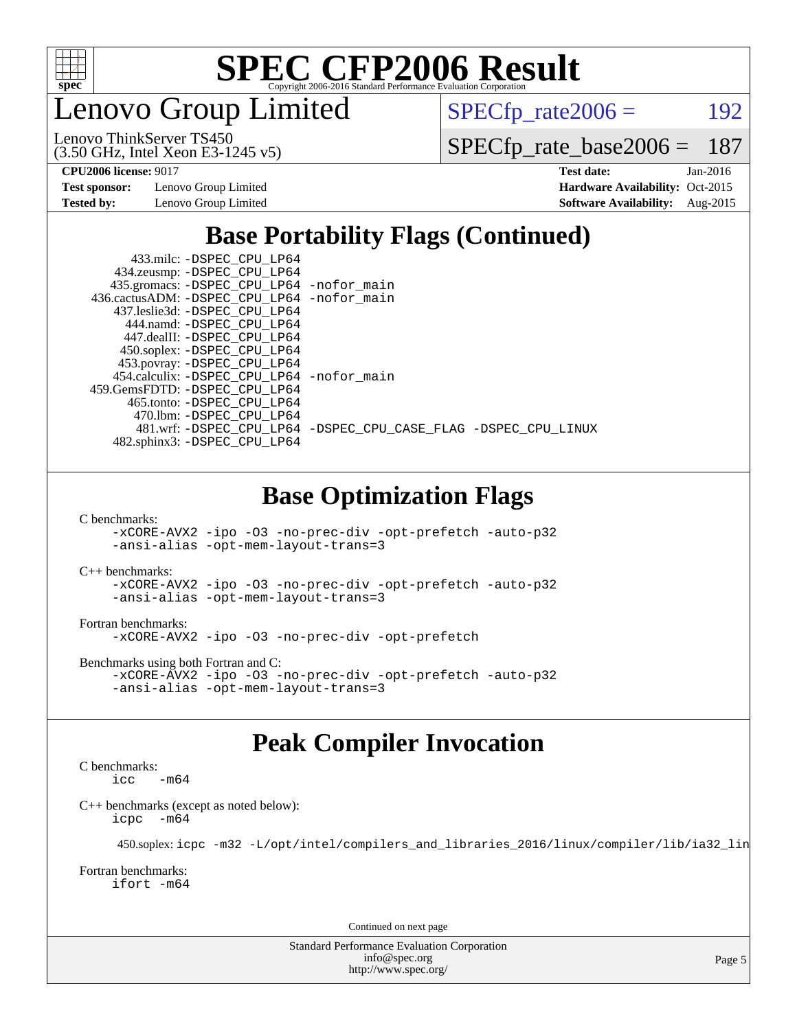

enovo Group Limited

 $SPECTp_rate2006 = 192$ 

(3.50 GHz, Intel Xeon E3-1245 v5) Lenovo ThinkServer TS450

[SPECfp\\_rate\\_base2006 =](http://www.spec.org/auto/cpu2006/Docs/result-fields.html#SPECfpratebase2006) 187

**[Test sponsor:](http://www.spec.org/auto/cpu2006/Docs/result-fields.html#Testsponsor)** Lenovo Group Limited **[Hardware Availability:](http://www.spec.org/auto/cpu2006/Docs/result-fields.html#HardwareAvailability)** Oct-2015

**[CPU2006 license:](http://www.spec.org/auto/cpu2006/Docs/result-fields.html#CPU2006license)** 9017 **[Test date:](http://www.spec.org/auto/cpu2006/Docs/result-fields.html#Testdate)** Jan-2016 **[Tested by:](http://www.spec.org/auto/cpu2006/Docs/result-fields.html#Testedby)** Lenovo Group Limited **[Software Availability:](http://www.spec.org/auto/cpu2006/Docs/result-fields.html#SoftwareAvailability)** Aug-2015

### **[Base Portability Flags \(Continued\)](http://www.spec.org/auto/cpu2006/Docs/result-fields.html#BasePortabilityFlags)**

| 433.milc: -DSPEC CPU LP64                   |                                                                |
|---------------------------------------------|----------------------------------------------------------------|
| 434.zeusmp: -DSPEC_CPU_LP64                 |                                                                |
| 435.gromacs: -DSPEC_CPU_LP64 -nofor_main    |                                                                |
| 436.cactusADM: -DSPEC CPU LP64 -nofor main  |                                                                |
| 437.leslie3d: -DSPEC CPU LP64               |                                                                |
| 444.namd: - DSPEC CPU LP64                  |                                                                |
| 447.dealII: -DSPEC CPU LP64                 |                                                                |
| 450.soplex: -DSPEC_CPU_LP64                 |                                                                |
| 453.povray: -DSPEC_CPU_LP64                 |                                                                |
| 454.calculix: - DSPEC CPU LP64 - nofor main |                                                                |
| 459.GemsFDTD: -DSPEC_CPU LP64               |                                                                |
| 465.tonto: -DSPEC CPU LP64                  |                                                                |
| 470.1bm: - DSPEC CPU LP64                   |                                                                |
|                                             | 481.wrf: -DSPEC_CPU_LP64 -DSPEC_CPU_CASE_FLAG -DSPEC_CPU_LINUX |
| 482.sphinx3: -DSPEC_CPU_LP64                |                                                                |
|                                             |                                                                |
|                                             |                                                                |

### **[Base Optimization Flags](http://www.spec.org/auto/cpu2006/Docs/result-fields.html#BaseOptimizationFlags)**

[C benchmarks](http://www.spec.org/auto/cpu2006/Docs/result-fields.html#Cbenchmarks):

[-xCORE-AVX2](http://www.spec.org/cpu2006/results/res2016q1/cpu2006-20160125-38883.flags.html#user_CCbase_f-xAVX2_5f5fc0cbe2c9f62c816d3e45806c70d7) [-ipo](http://www.spec.org/cpu2006/results/res2016q1/cpu2006-20160125-38883.flags.html#user_CCbase_f-ipo) [-O3](http://www.spec.org/cpu2006/results/res2016q1/cpu2006-20160125-38883.flags.html#user_CCbase_f-O3) [-no-prec-div](http://www.spec.org/cpu2006/results/res2016q1/cpu2006-20160125-38883.flags.html#user_CCbase_f-no-prec-div) [-opt-prefetch](http://www.spec.org/cpu2006/results/res2016q1/cpu2006-20160125-38883.flags.html#user_CCbase_f-opt-prefetch) [-auto-p32](http://www.spec.org/cpu2006/results/res2016q1/cpu2006-20160125-38883.flags.html#user_CCbase_f-auto-p32) [-ansi-alias](http://www.spec.org/cpu2006/results/res2016q1/cpu2006-20160125-38883.flags.html#user_CCbase_f-ansi-alias) [-opt-mem-layout-trans=3](http://www.spec.org/cpu2006/results/res2016q1/cpu2006-20160125-38883.flags.html#user_CCbase_f-opt-mem-layout-trans_a7b82ad4bd7abf52556d4961a2ae94d5)

[C++ benchmarks:](http://www.spec.org/auto/cpu2006/Docs/result-fields.html#CXXbenchmarks)

[-xCORE-AVX2](http://www.spec.org/cpu2006/results/res2016q1/cpu2006-20160125-38883.flags.html#user_CXXbase_f-xAVX2_5f5fc0cbe2c9f62c816d3e45806c70d7) [-ipo](http://www.spec.org/cpu2006/results/res2016q1/cpu2006-20160125-38883.flags.html#user_CXXbase_f-ipo) [-O3](http://www.spec.org/cpu2006/results/res2016q1/cpu2006-20160125-38883.flags.html#user_CXXbase_f-O3) [-no-prec-div](http://www.spec.org/cpu2006/results/res2016q1/cpu2006-20160125-38883.flags.html#user_CXXbase_f-no-prec-div) [-opt-prefetch](http://www.spec.org/cpu2006/results/res2016q1/cpu2006-20160125-38883.flags.html#user_CXXbase_f-opt-prefetch) [-auto-p32](http://www.spec.org/cpu2006/results/res2016q1/cpu2006-20160125-38883.flags.html#user_CXXbase_f-auto-p32) [-ansi-alias](http://www.spec.org/cpu2006/results/res2016q1/cpu2006-20160125-38883.flags.html#user_CXXbase_f-ansi-alias) [-opt-mem-layout-trans=3](http://www.spec.org/cpu2006/results/res2016q1/cpu2006-20160125-38883.flags.html#user_CXXbase_f-opt-mem-layout-trans_a7b82ad4bd7abf52556d4961a2ae94d5)

[Fortran benchmarks](http://www.spec.org/auto/cpu2006/Docs/result-fields.html#Fortranbenchmarks): [-xCORE-AVX2](http://www.spec.org/cpu2006/results/res2016q1/cpu2006-20160125-38883.flags.html#user_FCbase_f-xAVX2_5f5fc0cbe2c9f62c816d3e45806c70d7) [-ipo](http://www.spec.org/cpu2006/results/res2016q1/cpu2006-20160125-38883.flags.html#user_FCbase_f-ipo) [-O3](http://www.spec.org/cpu2006/results/res2016q1/cpu2006-20160125-38883.flags.html#user_FCbase_f-O3) [-no-prec-div](http://www.spec.org/cpu2006/results/res2016q1/cpu2006-20160125-38883.flags.html#user_FCbase_f-no-prec-div) [-opt-prefetch](http://www.spec.org/cpu2006/results/res2016q1/cpu2006-20160125-38883.flags.html#user_FCbase_f-opt-prefetch)

[Benchmarks using both Fortran and C](http://www.spec.org/auto/cpu2006/Docs/result-fields.html#BenchmarksusingbothFortranandC): [-xCORE-AVX2](http://www.spec.org/cpu2006/results/res2016q1/cpu2006-20160125-38883.flags.html#user_CC_FCbase_f-xAVX2_5f5fc0cbe2c9f62c816d3e45806c70d7) [-ipo](http://www.spec.org/cpu2006/results/res2016q1/cpu2006-20160125-38883.flags.html#user_CC_FCbase_f-ipo) [-O3](http://www.spec.org/cpu2006/results/res2016q1/cpu2006-20160125-38883.flags.html#user_CC_FCbase_f-O3) [-no-prec-div](http://www.spec.org/cpu2006/results/res2016q1/cpu2006-20160125-38883.flags.html#user_CC_FCbase_f-no-prec-div) [-opt-prefetch](http://www.spec.org/cpu2006/results/res2016q1/cpu2006-20160125-38883.flags.html#user_CC_FCbase_f-opt-prefetch) [-auto-p32](http://www.spec.org/cpu2006/results/res2016q1/cpu2006-20160125-38883.flags.html#user_CC_FCbase_f-auto-p32) [-ansi-alias](http://www.spec.org/cpu2006/results/res2016q1/cpu2006-20160125-38883.flags.html#user_CC_FCbase_f-ansi-alias) [-opt-mem-layout-trans=3](http://www.spec.org/cpu2006/results/res2016q1/cpu2006-20160125-38883.flags.html#user_CC_FCbase_f-opt-mem-layout-trans_a7b82ad4bd7abf52556d4961a2ae94d5)

### **[Peak Compiler Invocation](http://www.spec.org/auto/cpu2006/Docs/result-fields.html#PeakCompilerInvocation)**

[C benchmarks](http://www.spec.org/auto/cpu2006/Docs/result-fields.html#Cbenchmarks):  $-m64$ 

[C++ benchmarks \(except as noted below\):](http://www.spec.org/auto/cpu2006/Docs/result-fields.html#CXXbenchmarksexceptasnotedbelow) [icpc -m64](http://www.spec.org/cpu2006/results/res2016q1/cpu2006-20160125-38883.flags.html#user_CXXpeak_intel_icpc_64bit_bedb90c1146cab66620883ef4f41a67e)

450.soplex: [icpc -m32 -L/opt/intel/compilers\\_and\\_libraries\\_2016/linux/compiler/lib/ia32\\_lin](http://www.spec.org/cpu2006/results/res2016q1/cpu2006-20160125-38883.flags.html#user_peakCXXLD450_soplex_intel_icpc_b4f50a394bdb4597aa5879c16bc3f5c5)

[Fortran benchmarks](http://www.spec.org/auto/cpu2006/Docs/result-fields.html#Fortranbenchmarks): [ifort -m64](http://www.spec.org/cpu2006/results/res2016q1/cpu2006-20160125-38883.flags.html#user_FCpeak_intel_ifort_64bit_ee9d0fb25645d0210d97eb0527dcc06e)

Continued on next page

Standard Performance Evaluation Corporation [info@spec.org](mailto:info@spec.org) <http://www.spec.org/>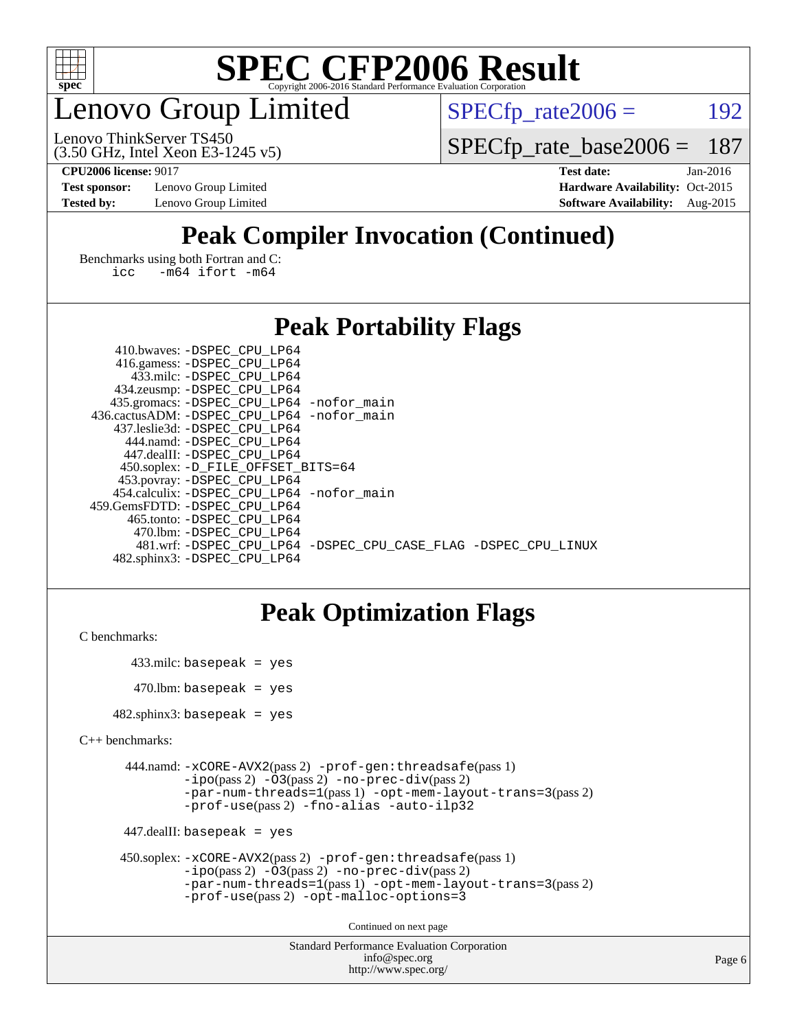

### enovo Group Limited

 $SPECTp_rate2006 = 192$ 

(3.50 GHz, Intel Xeon E3-1245 v5) Lenovo ThinkServer TS450

[SPECfp\\_rate\\_base2006 =](http://www.spec.org/auto/cpu2006/Docs/result-fields.html#SPECfpratebase2006) 187

**[Test sponsor:](http://www.spec.org/auto/cpu2006/Docs/result-fields.html#Testsponsor)** Lenovo Group Limited **[Hardware Availability:](http://www.spec.org/auto/cpu2006/Docs/result-fields.html#HardwareAvailability)** Oct-2015

**[CPU2006 license:](http://www.spec.org/auto/cpu2006/Docs/result-fields.html#CPU2006license)** 9017 **[Test date:](http://www.spec.org/auto/cpu2006/Docs/result-fields.html#Testdate)** Jan-2016 **[Tested by:](http://www.spec.org/auto/cpu2006/Docs/result-fields.html#Testedby)** Lenovo Group Limited **[Software Availability:](http://www.spec.org/auto/cpu2006/Docs/result-fields.html#SoftwareAvailability)** Aug-2015

### **[Peak Compiler Invocation \(Continued\)](http://www.spec.org/auto/cpu2006/Docs/result-fields.html#PeakCompilerInvocation)**

[Benchmarks using both Fortran and C](http://www.spec.org/auto/cpu2006/Docs/result-fields.html#BenchmarksusingbothFortranandC): [icc -m64](http://www.spec.org/cpu2006/results/res2016q1/cpu2006-20160125-38883.flags.html#user_CC_FCpeak_intel_icc_64bit_0b7121f5ab7cfabee23d88897260401c) [ifort -m64](http://www.spec.org/cpu2006/results/res2016q1/cpu2006-20160125-38883.flags.html#user_CC_FCpeak_intel_ifort_64bit_ee9d0fb25645d0210d97eb0527dcc06e)

### **[Peak Portability Flags](http://www.spec.org/auto/cpu2006/Docs/result-fields.html#PeakPortabilityFlags)**

| 410.bwaves: -DSPEC CPU LP64                 |                                                                |
|---------------------------------------------|----------------------------------------------------------------|
| 416.gamess: -DSPEC_CPU_LP64                 |                                                                |
| 433.milc: -DSPEC CPU LP64                   |                                                                |
| 434.zeusmp: -DSPEC_CPU_LP64                 |                                                                |
| 435.gromacs: -DSPEC_CPU_LP64 -nofor_main    |                                                                |
| 436.cactusADM: -DSPEC CPU LP64 -nofor main  |                                                                |
| 437.leslie3d: -DSPEC CPU LP64               |                                                                |
| 444.namd: - DSPEC_CPU LP64                  |                                                                |
| 447.dealII: -DSPEC CPU LP64                 |                                                                |
| 450.soplex: -D_FILE_OFFSET_BITS=64          |                                                                |
| 453.povray: -DSPEC_CPU_LP64                 |                                                                |
| 454.calculix: - DSPEC CPU LP64 - nofor main |                                                                |
| 459.GemsFDTD: -DSPEC CPU LP64               |                                                                |
| 465.tonto: - DSPEC CPU LP64                 |                                                                |
| 470.1bm: - DSPEC CPU LP64                   |                                                                |
|                                             | 481.wrf: -DSPEC CPU_LP64 -DSPEC_CPU_CASE_FLAG -DSPEC_CPU_LINUX |
| 482.sphinx3: -DSPEC CPU LP64                |                                                                |

### **[Peak Optimization Flags](http://www.spec.org/auto/cpu2006/Docs/result-fields.html#PeakOptimizationFlags)**

[C benchmarks](http://www.spec.org/auto/cpu2006/Docs/result-fields.html#Cbenchmarks):

 433.milc: basepeak = yes  $470$ .lbm: basepeak = yes

482.sphinx3: basepeak = yes

```
C++ benchmarks:
```

```
 444.namd: -xCORE-AVX2(pass 2) -prof-gen:threadsafe(pass 1)
         -i\text{po}(pass 2) -\overline{O}3(pass 2)-no-prec-div(pass 2)
         -par-num-threads=1(pass 1) -opt-mem-layout-trans=3(pass 2)
         -prof-use(pass 2) -fno-alias -auto-ilp32
```
447.dealII: basepeak = yes

```
 450.soplex: -xCORE-AVX2(pass 2) -prof-gen:threadsafe(pass 1)
         -ipo(pass 2) -O3(pass 2) -no-prec-div(pass 2)
         -par-num-threads=1(pass 1) -opt-mem-layout-trans=3(pass 2)
         -prof-use(pass 2) -opt-malloc-options=3
```
Continued on next page

```
Standard Performance Evaluation Corporation
              info@spec.org
           http://www.spec.org/
```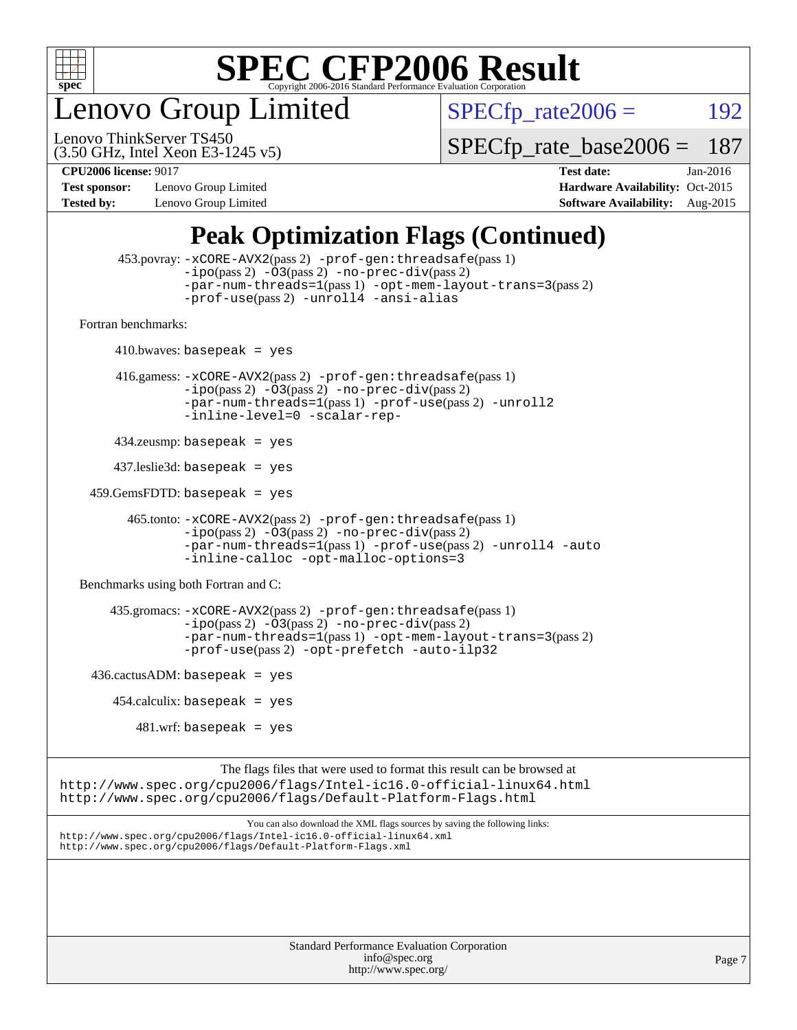

enovo Group Limited

 $SPECTp_rate2006 = 192$ 

(3.50 GHz, Intel Xeon E3-1245 v5) Lenovo ThinkServer TS450

[SPECfp\\_rate\\_base2006 =](http://www.spec.org/auto/cpu2006/Docs/result-fields.html#SPECfpratebase2006) 187

**[Test sponsor:](http://www.spec.org/auto/cpu2006/Docs/result-fields.html#Testsponsor)** Lenovo Group Limited **[Hardware Availability:](http://www.spec.org/auto/cpu2006/Docs/result-fields.html#HardwareAvailability)** Oct-2015

**[CPU2006 license:](http://www.spec.org/auto/cpu2006/Docs/result-fields.html#CPU2006license)** 9017 **[Test date:](http://www.spec.org/auto/cpu2006/Docs/result-fields.html#Testdate)** Jan-2016 **[Tested by:](http://www.spec.org/auto/cpu2006/Docs/result-fields.html#Testedby)** Lenovo Group Limited **[Software Availability:](http://www.spec.org/auto/cpu2006/Docs/result-fields.html#SoftwareAvailability)** Aug-2015

### **[Peak Optimization Flags \(Continued\)](http://www.spec.org/auto/cpu2006/Docs/result-fields.html#PeakOptimizationFlags)**

```
 453.povray: -xCORE-AVX2(pass 2) -prof-gen:threadsafe(pass 1)
                   -i\text{po}(pass 2) -\overset{\sim}{O}3(pass 2)-no-prec-div(pass 2)
                   -par-num-threads=1(pass 1) -opt-mem-layout-trans=3(pass 2)
                   -prof-use(pass 2) -unroll4 -ansi-alias
   Fortran benchmarks: 
        410.bwaves: basepeak = yes 416.gamess: -xCORE-AVX2(pass 2) -prof-gen:threadsafe(pass 1)
                   -ipo(pass 2) -O3(pass 2) -no-prec-div(pass 2)
                   -par-num-threads=1(pass 1) -prof-use(pass 2) -unroll2
                   -inline-level=0 -scalar-rep-
         434.zeusmp: basepeak = yes
         437.leslie3d: basepeak = yes
     459.GemsFDTD: basepeak = yes
           465.tonto: -xCORE-AVX2(pass 2) -prof-gen:threadsafe(pass 1)
                   -i\text{po}(pass 2) -03(pass 2)-no-prec-div(pass 2)
                   -par-num-threads=1(pass 1) -prof-use(pass 2) -unroll4 -auto
                   -inline-calloc -opt-malloc-options=3
   Benchmarks using both Fortran and C: 
         435.gromacs: -xCORE-AVX2(pass 2) -prof-gen:threadsafe(pass 1)
                   -i\text{po}(pass 2) -\tilde{O}3(pass 2)-no-prec-div(pass 2)
                   -par-num-threads=1(pass 1) -opt-mem-layout-trans=3(pass 2)
                   -prof-use(pass 2) -opt-prefetch -auto-ilp32
    436.cactusADM:basepeak = yes454.calculix: basepeak = yes
            481 \text{.m}: basepeak = yes
                         The flags files that were used to format this result can be browsed at
http://www.spec.org/cpu2006/flags/Intel-ic16.0-official-linux64.html
http://www.spec.org/cpu2006/flags/Default-Platform-Flags.html
                             You can also download the XML flags sources by saving the following links:
http://www.spec.org/cpu2006/flags/Intel-ic16.0-official-linux64.xml
http://www.spec.org/cpu2006/flags/Default-Platform-Flags.xml
```